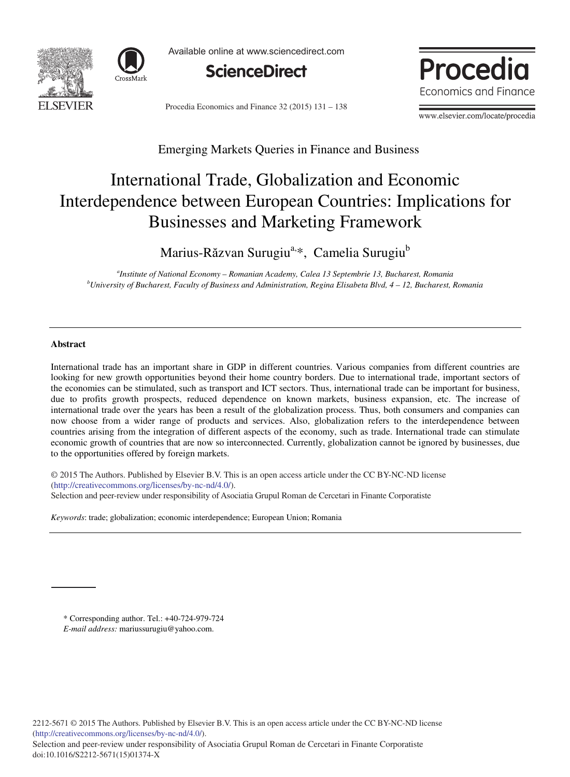



Available online at www.sciencedirect.com



Procedia Economics and Finance  $32(2015)$   $131 - 138$ 



www.elsevier.com/locate/procedia

# Emerging Markets Queries in Finance and Business

# International Trade, Globalization and Economic Interdependence between European Countries: Implications for Businesses and Marketing Framework

Marius-Răzvan Surugiu<sup>a, v</sup>, Camelia Surugiu<sup>b</sup>

*a Institute of National Economy – Romanian Academy, Calea 13 Septembrie 13, Bucharest, Romania b University of Bucharest, Faculty of Business and Administration, Regina Elisabeta Blvd, 4 – 12, Bucharest, Romania* 

#### **Abstract**

International trade has an important share in GDP in different countries. Various companies from different countries are looking for new growth opportunities beyond their home country borders. Due to international trade, important sectors of the economies can be stimulated, such as transport and ICT sectors. Thus, international trade can be important for business, due to profits growth prospects, reduced dependence on known markets, business expansion, etc. The increase of international trade over the years has been a result of the globalization process. Thus, both consumers and companies can now choose from a wider range of products and services. Also, globalization refers to the interdependence between countries arising from the integration of different aspects of the economy, such as trade. International trade can stimulate economic growth of countries that are now so interconnected. Currently, globalization cannot be ignored by businesses, due to the opportunities offered by foreign markets.

© 2015 Authors. Published by Elsevier B.V. This is an open access article under the CC BY-NC-ND license © 2015 The Authors. Published by Elsevier B.V. This is an open access article under the CC BY-NC-ND license (http://creativecommons.org/licenses/by-nc-nd/3.0/). (http://creativecommons.org/licenses/by-nc-nd/4.0/). Selection and peer-review under responsibility of Asociatia Grupul Roman de Cercetari in Finante Corporatiste

*Keywords*: trade; globalization; economic interdependence; European Union; Romania

\* Corresponding author. Tel.: +40-724-979-724

*E-mail address:* mariussurugiu@yahoo.com.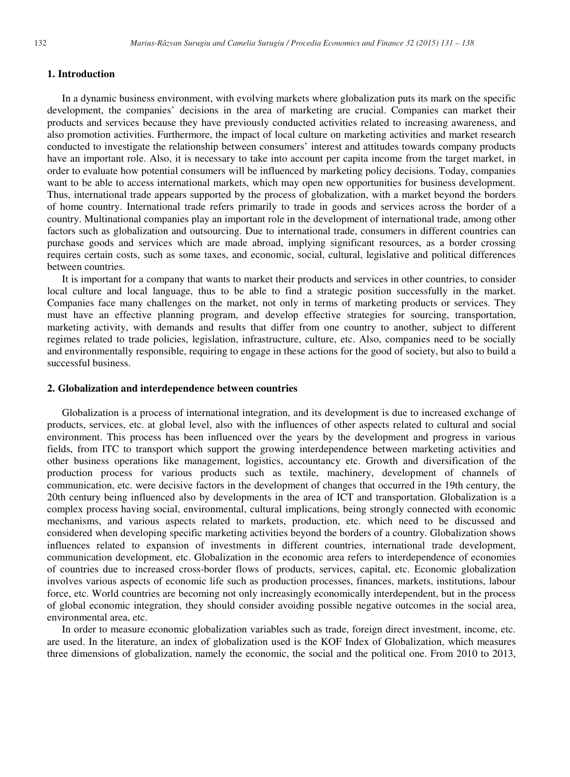## **1. Introduction**

In a dynamic business environment, with evolving markets where globalization puts its mark on the specific development, the companies' decisions in the area of marketing are crucial. Companies can market their products and services because they have previously conducted activities related to increasing awareness, and also promotion activities. Furthermore, the impact of local culture on marketing activities and market research conducted to investigate the relationship between consumers' interest and attitudes towards company products have an important role. Also, it is necessary to take into account per capita income from the target market, in order to evaluate how potential consumers will be influenced by marketing policy decisions. Today, companies want to be able to access international markets, which may open new opportunities for business development. Thus, international trade appears supported by the process of globalization, with a market beyond the borders of home country. International trade refers primarily to trade in goods and services across the border of a country. Multinational companies play an important role in the development of international trade, among other factors such as globalization and outsourcing. Due to international trade, consumers in different countries can purchase goods and services which are made abroad, implying significant resources, as a border crossing requires certain costs, such as some taxes, and economic, social, cultural, legislative and political differences between countries.

It is important for a company that wants to market their products and services in other countries, to consider local culture and local language, thus to be able to find a strategic position successfully in the market. Companies face many challenges on the market, not only in terms of marketing products or services. They must have an effective planning program, and develop effective strategies for sourcing, transportation, marketing activity, with demands and results that differ from one country to another, subject to different regimes related to trade policies, legislation, infrastructure, culture, etc. Also, companies need to be socially and environmentally responsible, requiring to engage in these actions for the good of society, but also to build a successful business.

### **2. Globalization and interdependence between countries**

Globalization is a process of international integration, and its development is due to increased exchange of products, services, etc. at global level, also with the influences of other aspects related to cultural and social environment. This process has been influenced over the years by the development and progress in various fields, from ITC to transport which support the growing interdependence between marketing activities and other business operations like management, logistics, accountancy etc. Growth and diversification of the production process for various products such as textile, machinery, development of channels of communication, etc. were decisive factors in the development of changes that occurred in the 19th century, the 20th century being influenced also by developments in the area of ICT and transportation. Globalization is a complex process having social, environmental, cultural implications, being strongly connected with economic mechanisms, and various aspects related to markets, production, etc. which need to be discussed and considered when developing specific marketing activities beyond the borders of a country. Globalization shows influences related to expansion of investments in different countries, international trade development, communication development, etc. Globalization in the economic area refers to interdependence of economies of countries due to increased cross-border flows of products, services, capital, etc. Economic globalization involves various aspects of economic life such as production processes, finances, markets, institutions, labour force, etc. World countries are becoming not only increasingly economically interdependent, but in the process of global economic integration, they should consider avoiding possible negative outcomes in the social area, environmental area, etc.

In order to measure economic globalization variables such as trade, foreign direct investment, income, etc. are used. In the literature, an index of globalization used is the KOF Index of Globalization, which measures three dimensions of globalization, namely the economic, the social and the political one. From 2010 to 2013,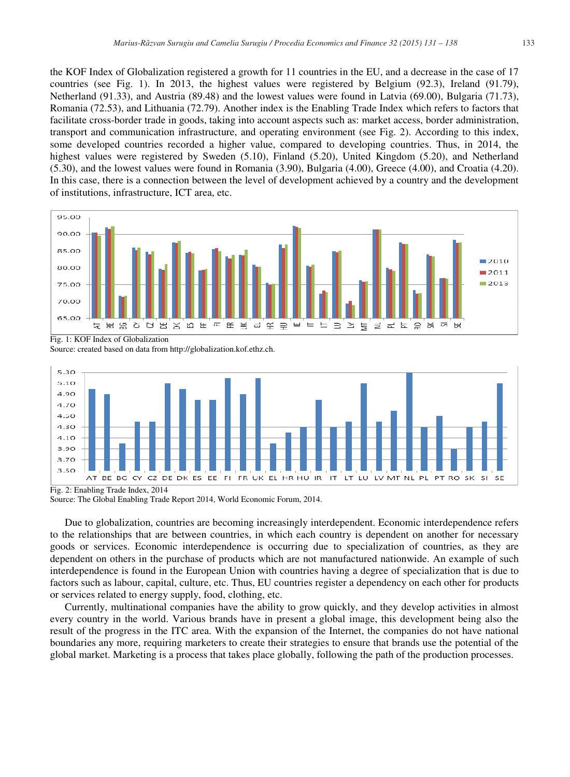the KOF Index of Globalization registered a growth for 11 countries in the EU, and a decrease in the case of 17 countries (see Fig. 1). In 2013, the highest values were registered by Belgium (92.3), Ireland (91.79), Netherland (91.33), and Austria (89.48) and the lowest values were found in Latvia (69.00), Bulgaria (71.73), Romania (72.53), and Lithuania (72.79). Another index is the Enabling Trade Index which refers to factors that facilitate cross-border trade in goods, taking into account aspects such as: market access, border administration, transport and communication infrastructure, and operating environment (see Fig. 2). According to this index, some developed countries recorded a higher value, compared to developing countries. Thus, in 2014, the highest values were registered by Sweden (5.10), Finland (5.20), United Kingdom (5.20), and Netherland (5.30), and the lowest values were found in Romania (3.90), Bulgaria (4.00), Greece (4.00), and Croatia (4.20). In this case, there is a connection between the level of development achieved by a country and the development of institutions, infrastructure, ICT area, etc.



Fig. 1: KOF Index of Globalization

Source: created based on data from http://globalization.kof.ethz.ch.



Fig. 2: Enabling Trade Index, 2014 Source: The Global Enabling Trade Report 2014, World Economic Forum, 2014.

Due to globalization, countries are becoming increasingly interdependent. Economic interdependence refers to the relationships that are between countries, in which each country is dependent on another for necessary goods or services. Economic interdependence is occurring due to specialization of countries, as they are dependent on others in the purchase of products which are not manufactured nationwide. An example of such interdependence is found in the European Union with countries having a degree of specialization that is due to factors such as labour, capital, culture, etc. Thus, EU countries register a dependency on each other for products or services related to energy supply, food, clothing, etc.

Currently, multinational companies have the ability to grow quickly, and they develop activities in almost every country in the world. Various brands have in present a global image, this development being also the result of the progress in the ITC area. With the expansion of the Internet, the companies do not have national boundaries any more, requiring marketers to create their strategies to ensure that brands use the potential of the global market. Marketing is a process that takes place globally, following the path of the production processes.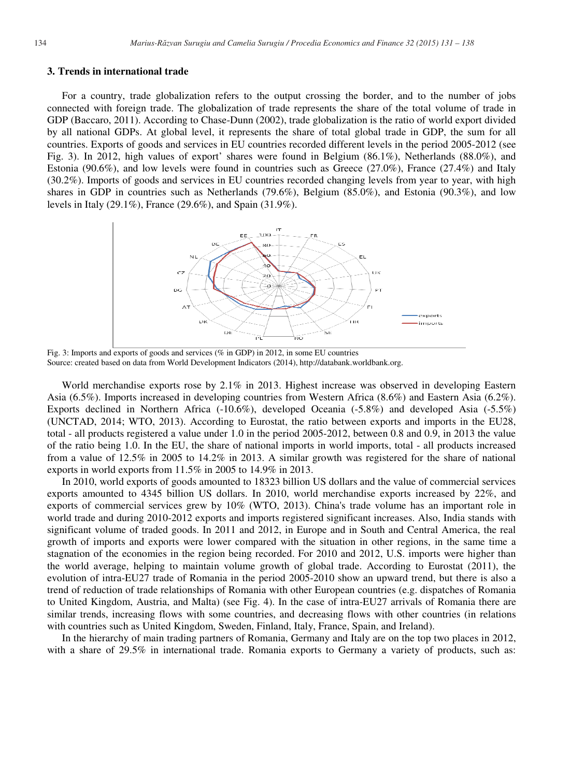#### **3. Trends in international trade**

For a country, trade globalization refers to the output crossing the border, and to the number of jobs connected with foreign trade. The globalization of trade represents the share of the total volume of trade in GDP (Baccaro, 2011). According to Chase-Dunn (2002), trade globalization is the ratio of world export divided by all national GDPs. At global level, it represents the share of total global trade in GDP, the sum for all countries. Exports of goods and services in EU countries recorded different levels in the period 2005-2012 (see Fig. 3). In 2012, high values of export' shares were found in Belgium (86.1%), Netherlands (88.0%), and Estonia (90.6%), and low levels were found in countries such as Greece (27.0%), France (27.4%) and Italy (30.2%). Imports of goods and services in EU countries recorded changing levels from year to year, with high shares in GDP in countries such as Netherlands (79.6%), Belgium (85.0%), and Estonia (90.3%), and low levels in Italy (29.1%), France (29.6%), and Spain (31.9%).



Fig. 3: Imports and exports of goods and services (% in GDP) in 2012, in some EU countries Source: created based on data from World Development Indicators (2014), http://databank.worldbank.org.

World merchandise exports rose by 2.1% in 2013. Highest increase was observed in developing Eastern Asia (6.5%). Imports increased in developing countries from Western Africa (8.6%) and Eastern Asia (6.2%). Exports declined in Northern Africa (-10.6%), developed Oceania (-5.8%) and developed Asia (-5.5%) (UNCTAD, 2014; WTO, 2013). According to Eurostat, the ratio between exports and imports in the EU28, total - all products registered a value under 1.0 in the period 2005-2012, between 0.8 and 0.9, in 2013 the value of the ratio being 1.0. In the EU, the share of national imports in world imports, total - all products increased from a value of 12.5% in 2005 to 14.2% in 2013. A similar growth was registered for the share of national exports in world exports from 11.5% in 2005 to 14.9% in 2013.

In 2010, world exports of goods amounted to 18323 billion US dollars and the value of commercial services exports amounted to 4345 billion US dollars. In 2010, world merchandise exports increased by 22%, and exports of commercial services grew by 10% (WTO, 2013). China's trade volume has an important role in world trade and during 2010-2012 exports and imports registered significant increases. Also, India stands with significant volume of traded goods. In 2011 and 2012, in Europe and in South and Central America, the real growth of imports and exports were lower compared with the situation in other regions, in the same time a stagnation of the economies in the region being recorded. For 2010 and 2012, U.S. imports were higher than the world average, helping to maintain volume growth of global trade. According to Eurostat (2011), the evolution of intra-EU27 trade of Romania in the period 2005-2010 show an upward trend, but there is also a trend of reduction of trade relationships of Romania with other European countries (e.g. dispatches of Romania to United Kingdom, Austria, and Malta) (see Fig. 4). In the case of intra-EU27 arrivals of Romania there are similar trends, increasing flows with some countries, and decreasing flows with other countries (in relations with countries such as United Kingdom, Sweden, Finland, Italy, France, Spain, and Ireland).

In the hierarchy of main trading partners of Romania, Germany and Italy are on the top two places in 2012, with a share of 29.5% in international trade. Romania exports to Germany a variety of products, such as: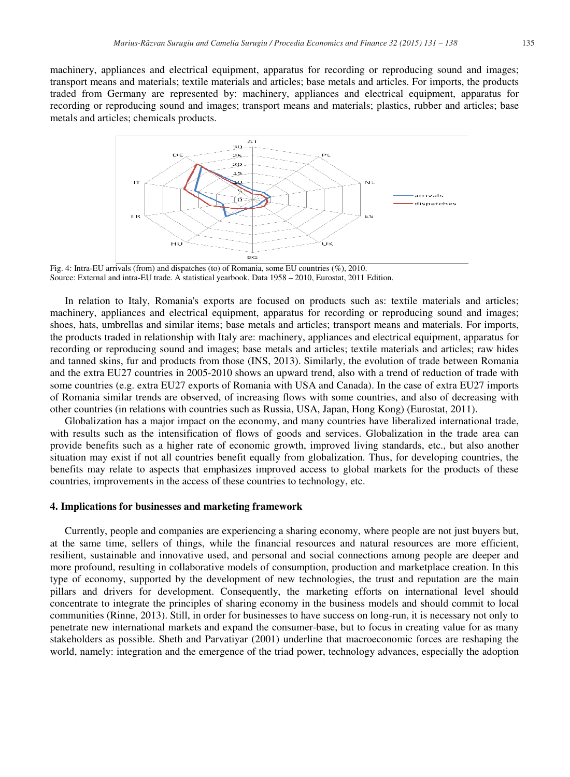machinery, appliances and electrical equipment, apparatus for recording or reproducing sound and images; transport means and materials; textile materials and articles; base metals and articles. For imports, the products traded from Germany are represented by: machinery, appliances and electrical equipment, apparatus for recording or reproducing sound and images; transport means and materials; plastics, rubber and articles; base metals and articles; chemicals products.



Fig. 4: Intra-EU arrivals (from) and dispatches (to) of Romania, some EU countries (%), 2010. Source: External and intra-EU trade. A statistical yearbook. Data 1958 – 2010, Eurostat, 2011 Edition.

In relation to Italy, Romania's exports are focused on products such as: textile materials and articles; machinery, appliances and electrical equipment, apparatus for recording or reproducing sound and images; shoes, hats, umbrellas and similar items; base metals and articles; transport means and materials. For imports, the products traded in relationship with Italy are: machinery, appliances and electrical equipment, apparatus for recording or reproducing sound and images; base metals and articles; textile materials and articles; raw hides and tanned skins, fur and products from those (INS, 2013). Similarly, the evolution of trade between Romania and the extra EU27 countries in 2005-2010 shows an upward trend, also with a trend of reduction of trade with some countries (e.g. extra EU27 exports of Romania with USA and Canada). In the case of extra EU27 imports of Romania similar trends are observed, of increasing flows with some countries, and also of decreasing with other countries (in relations with countries such as Russia, USA, Japan, Hong Kong) (Eurostat, 2011).

Globalization has a major impact on the economy, and many countries have liberalized international trade, with results such as the intensification of flows of goods and services. Globalization in the trade area can provide benefits such as a higher rate of economic growth, improved living standards, etc., but also another situation may exist if not all countries benefit equally from globalization. Thus, for developing countries, the benefits may relate to aspects that emphasizes improved access to global markets for the products of these countries, improvements in the access of these countries to technology, etc.

#### **4. Implications for businesses and marketing framework**

Currently, people and companies are experiencing a sharing economy, where people are not just buyers but, at the same time, sellers of things, while the financial resources and natural resources are more efficient, resilient, sustainable and innovative used, and personal and social connections among people are deeper and more profound, resulting in collaborative models of consumption, production and marketplace creation. In this type of economy, supported by the development of new technologies, the trust and reputation are the main pillars and drivers for development. Consequently, the marketing efforts on international level should concentrate to integrate the principles of sharing economy in the business models and should commit to local communities (Rinne, 2013). Still, in order for businesses to have success on long-run, it is necessary not only to penetrate new international markets and expand the consumer-base, but to focus in creating value for as many stakeholders as possible. Sheth and Parvatiyar (2001) underline that macroeconomic forces are reshaping the world, namely: integration and the emergence of the triad power, technology advances, especially the adoption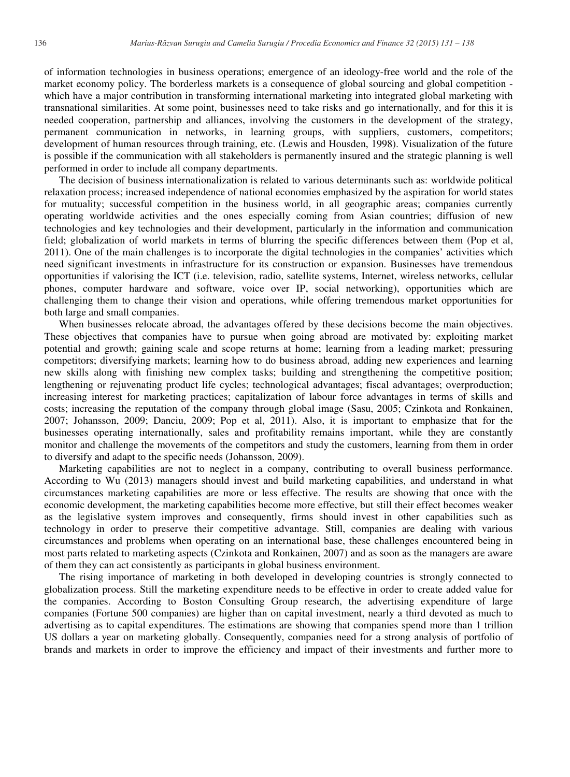of information technologies in business operations; emergence of an ideology-free world and the role of the market economy policy. The borderless markets is a consequence of global sourcing and global competition which have a major contribution in transforming international marketing into integrated global marketing with transnational similarities. At some point, businesses need to take risks and go internationally, and for this it is needed cooperation, partnership and alliances, involving the customers in the development of the strategy, permanent communication in networks, in learning groups, with suppliers, customers, competitors; development of human resources through training, etc. (Lewis and Housden, 1998). Visualization of the future is possible if the communication with all stakeholders is permanently insured and the strategic planning is well performed in order to include all company departments.

The decision of business internationalization is related to various determinants such as: worldwide political relaxation process; increased independence of national economies emphasized by the aspiration for world states for mutuality; successful competition in the business world, in all geographic areas; companies currently operating worldwide activities and the ones especially coming from Asian countries; diffusion of new technologies and key technologies and their development, particularly in the information and communication field; globalization of world markets in terms of blurring the specific differences between them (Pop et al, 2011). One of the main challenges is to incorporate the digital technologies in the companies' activities which need significant investments in infrastructure for its construction or expansion. Businesses have tremendous opportunities if valorising the ICT (i.e. television, radio, satellite systems, Internet, wireless networks, cellular phones, computer hardware and software, voice over IP, social networking), opportunities which are challenging them to change their vision and operations, while offering tremendous market opportunities for both large and small companies.

When businesses relocate abroad, the advantages offered by these decisions become the main objectives. These objectives that companies have to pursue when going abroad are motivated by: exploiting market potential and growth; gaining scale and scope returns at home; learning from a leading market; pressuring competitors; diversifying markets; learning how to do business abroad, adding new experiences and learning new skills along with finishing new complex tasks; building and strengthening the competitive position; lengthening or rejuvenating product life cycles; technological advantages; fiscal advantages; overproduction; increasing interest for marketing practices; capitalization of labour force advantages in terms of skills and costs; increasing the reputation of the company through global image (Sasu, 2005; Czinkota and Ronkainen, 2007; Johansson, 2009; Danciu, 2009; Pop et al, 2011). Also, it is important to emphasize that for the businesses operating internationally, sales and profitability remains important, while they are constantly monitor and challenge the movements of the competitors and study the customers, learning from them in order to diversify and adapt to the specific needs (Johansson, 2009).

Marketing capabilities are not to neglect in a company, contributing to overall business performance. According to Wu (2013) managers should invest and build marketing capabilities, and understand in what circumstances marketing capabilities are more or less effective. The results are showing that once with the economic development, the marketing capabilities become more effective, but still their effect becomes weaker as the legislative system improves and consequently, firms should invest in other capabilities such as technology in order to preserve their competitive advantage. Still, companies are dealing with various circumstances and problems when operating on an international base, these challenges encountered being in most parts related to marketing aspects (Czinkota and Ronkainen, 2007) and as soon as the managers are aware of them they can act consistently as participants in global business environment.

The rising importance of marketing in both developed in developing countries is strongly connected to globalization process. Still the marketing expenditure needs to be effective in order to create added value for the companies. According to Boston Consulting Group research, the advertising expenditure of large companies (Fortune 500 companies) are higher than on capital investment, nearly a third devoted as much to advertising as to capital expenditures. The estimations are showing that companies spend more than 1 trillion US dollars a year on marketing globally. Consequently, companies need for a strong analysis of portfolio of brands and markets in order to improve the efficiency and impact of their investments and further more to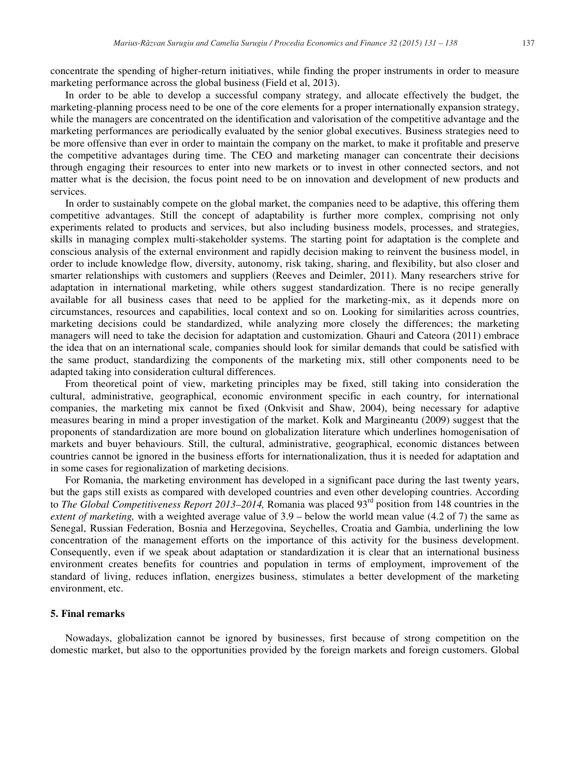concentrate the spending of higher-return initiatives, while finding the proper instruments in order to measure marketing performance across the global business (Field et al, 2013).

In order to be able to develop a successful company strategy, and allocate effectively the budget, the marketing-planning process need to be one of the core elements for a proper internationally expansion strategy, while the managers are concentrated on the identification and valorisation of the competitive advantage and the marketing performances are periodically evaluated by the senior global executives. Business strategies need to be more offensive than ever in order to maintain the company on the market, to make it profitable and preserve the competitive advantages during time. The CEO and marketing manager can concentrate their decisions through engaging their resources to enter into new markets or to invest in other connected sectors, and not matter what is the decision, the focus point need to be on innovation and development of new products and services.

In order to sustainably compete on the global market, the companies need to be adaptive, this offering them competitive advantages. Still the concept of adaptability is further more complex, comprising not only experiments related to products and services, but also including business models, processes, and strategies, skills in managing complex multi-stakeholder systems. The starting point for adaptation is the complete and conscious analysis of the external environment and rapidly decision making to reinvent the business model, in order to include knowledge flow, diversity, autonomy, risk taking, sharing, and flexibility, but also closer and smarter relationships with customers and suppliers (Reeves and Deimler, 2011). Many researchers strive for adaptation in international marketing, while others suggest standardization. There is no recipe generally available for all business cases that need to be applied for the marketing-mix, as it depends more on circumstances, resources and capabilities, local context and so on. Looking for similarities across countries, marketing decisions could be standardized, while analyzing more closely the differences; the marketing managers will need to take the decision for adaptation and customization. Ghauri and Cateora (2011) embrace the idea that on an international scale, companies should look for similar demands that could be satisfied with the same product, standardizing the components of the marketing mix, still other components need to be adapted taking into consideration cultural differences.

From theoretical point of view, marketing principles may be fixed, still taking into consideration the cultural, administrative, geographical, economic environment specific in each country, for international companies, the marketing mix cannot be fixed (Onkvisit and Shaw, 2004), being necessary for adaptive measures bearing in mind a proper investigation of the market. Kolk and Margineantu (2009) suggest that the proponents of standardization are more bound on globalization literature which underlines homogenisation of markets and buyer behaviours. Still, the cultural, administrative, geographical, economic distances between countries cannot be ignored in the business efforts for internationalization, thus it is needed for adaptation and in some cases for regionalization of marketing decisions.

For Romania, the marketing environment has developed in a significant pace during the last twenty years, but the gaps still exists as compared with developed countries and even other developing countries. According to *The Global Competitiveness Report 2013–2014*, Romania was placed 93<sup>rd</sup> position from 148 countries in the *extent of marketing,* with a weighted average value of 3.9 – below the world mean value (4.2 of 7) the same as Senegal, Russian Federation, Bosnia and Herzegovina, Seychelles, Croatia and Gambia, underlining the low concentration of the management efforts on the importance of this activity for the business development. Consequently, even if we speak about adaptation or standardization it is clear that an international business environment creates benefits for countries and population in terms of employment, improvement of the standard of living, reduces inflation, energizes business, stimulates a better development of the marketing environment, etc.

### **5. Final remarks**

Nowadays, globalization cannot be ignored by businesses, first because of strong competition on the domestic market, but also to the opportunities provided by the foreign markets and foreign customers. Global